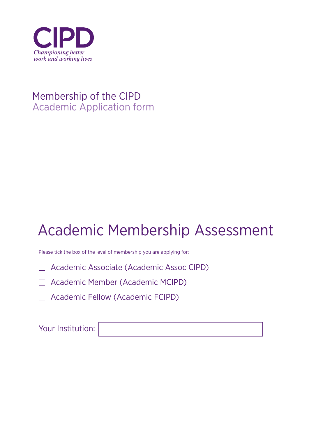

## Membership of the CIPD Academic Application form

# Academic Membership Assessment

Please tick the box of the level of membership you are applying for:

□ Academic Associate (Academic Assoc CIPD)

Academic Member (Academic MCIPD)

Academic Fellow (Academic FCIPD)

Your Institution: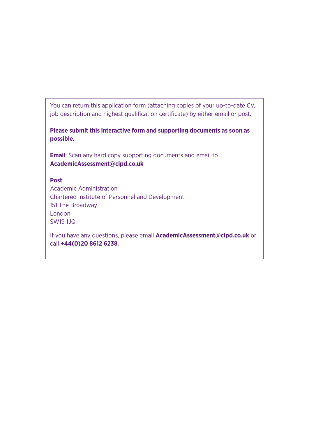You can return this application form (attaching copies of your up-to-date CV, job description and highest qualification certificate) by either email or post.

**Please submit this interactive form and supporting documents as soon as possible.**

**Email**: Scan any hard copy supporting documents and email to **AcademicAssessment@cipd.co.uk**

### **Post**:

Academic Administration Chartered Institute of Personnel and Development 151 The Broadway London SW19 1JQ

If you have any questions, please email **AcademicAssessment@cipd.co.uk** or call **+44(0)20 8612 6238**.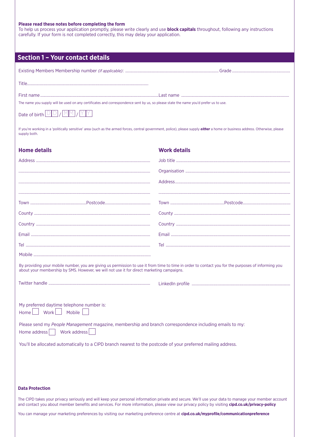#### **Please read these notes before completing the form**

To help us process your application promptly, please write clearly and use **block capitals** throughout, following any instructions carefully. If your form is not completed correctly, this may delay your application.

| <b>Section 1 - Your contact details</b>                                                                                                                                                                                                          |                     |  |
|--------------------------------------------------------------------------------------------------------------------------------------------------------------------------------------------------------------------------------------------------|---------------------|--|
|                                                                                                                                                                                                                                                  |                     |  |
|                                                                                                                                                                                                                                                  |                     |  |
| The name you supply will be used on any certificates and correspondence sent by us, so please state the name you'd prefer us to use.                                                                                                             |                     |  |
| Date of birth $\boxed{\text{D} \text{D}} / \boxed{\text{MM}} / \boxed{\text{Y} \text{Y}}$                                                                                                                                                        |                     |  |
| If you're working in a 'politically sensitive' area (such as the armed forces, central government, police), please supply <i>either</i> a home or business address. Otherwise, please<br>supply both.                                            |                     |  |
| <b>Home details</b>                                                                                                                                                                                                                              | <b>Work details</b> |  |
|                                                                                                                                                                                                                                                  |                     |  |
|                                                                                                                                                                                                                                                  |                     |  |
|                                                                                                                                                                                                                                                  |                     |  |
|                                                                                                                                                                                                                                                  |                     |  |
|                                                                                                                                                                                                                                                  |                     |  |
|                                                                                                                                                                                                                                                  |                     |  |
|                                                                                                                                                                                                                                                  |                     |  |
|                                                                                                                                                                                                                                                  |                     |  |
|                                                                                                                                                                                                                                                  |                     |  |
|                                                                                                                                                                                                                                                  |                     |  |
| By providing your mobile number, you are giving us permission to use it from time to time in order to contact you for the purposes of informing you<br>about your membership by SMS. However, we will not use it for direct marketing campaigns. |                     |  |
|                                                                                                                                                                                                                                                  |                     |  |
|                                                                                                                                                                                                                                                  |                     |  |
| My preferred daytime telephone number is:<br>Work<br>Mobile<br>Home                                                                                                                                                                              |                     |  |
| Please send my People Management magazine, membership and branch correspondence including emails to my:<br>Work address<br>Home address                                                                                                          |                     |  |
| You'll be allocated automatically to a CIPD branch nearest to the postcode of your preferred mailing address.                                                                                                                                    |                     |  |
|                                                                                                                                                                                                                                                  |                     |  |
|                                                                                                                                                                                                                                                  |                     |  |
|                                                                                                                                                                                                                                                  |                     |  |
| <b>Data Protection</b>                                                                                                                                                                                                                           |                     |  |
| and will keep your personal information private and secur                                                                                                                                                                                        |                     |  |

The CIPD takes your privacy seriously and will keep your personal information private and secure. We'll use your data to manage your member account and contact you about member benefits and services. For more information, please view our privacy policy by visiting **[cipd.co.uk/privacy-policy](www.cipd.co.uk/privacy-policy)**

You can manage your marketing preferences by visiting our marketing preference centre at **[cipd.co.uk/myprofile/communicationpreference](www.cipd.co.uk/myprofile/communicationpreference)**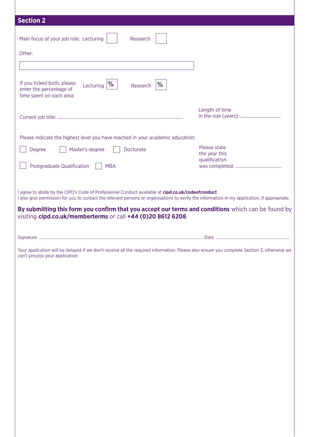| <b>Section 2</b>                                                                                                                                                              |                                                |
|-------------------------------------------------------------------------------------------------------------------------------------------------------------------------------|------------------------------------------------|
| Main focus of your job role: Lecturing<br>Research                                                                                                                            |                                                |
|                                                                                                                                                                               |                                                |
| Other:                                                                                                                                                                        |                                                |
|                                                                                                                                                                               |                                                |
| If you ticked both, please<br>Lecturing $\%$<br>%<br>Research<br>enter the percentage of<br>time spent on each area:                                                          |                                                |
|                                                                                                                                                                               | Length of time                                 |
| Please indicate the highest level you have reached in your academic education:                                                                                                |                                                |
| Master's degree<br>Doctorate<br>Degree                                                                                                                                        | Please state<br>the year this<br>qualification |
| Postgraduate Qualification<br><b>MBA</b>                                                                                                                                      |                                                |
|                                                                                                                                                                               |                                                |
| Your application will be delayed if we don't receive all the required information. Please also ensure you complete Section 3, otherwise we<br>can't process your application. |                                                |
|                                                                                                                                                                               |                                                |
|                                                                                                                                                                               |                                                |
|                                                                                                                                                                               |                                                |
|                                                                                                                                                                               |                                                |